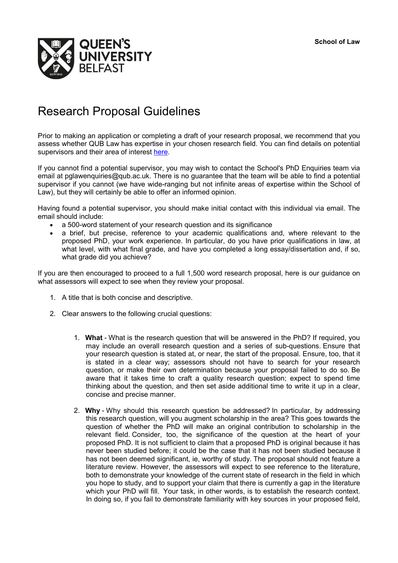

## Research Proposal Guidelines

Prior to making an application or completing a draft of your research proposal, we recommend that you assess whether QUB Law has expertise in your chosen research field. You can find details on potential supervisors and their area of interest [here.](http://www.qub.ac.uk/Study/PostgraduateStudy/Postgraduate-research/find-phd-supervisor/)

If you cannot find a potential supervisor, you may wish to contact the School's PhD Enquiries team via email at pglawenquiries@qub.ac.uk. There is no guarantee that the team will be able to find a potential supervisor if you cannot (we have wide-ranging but not infinite areas of expertise within the School of Law), but they will certainly be able to offer an informed opinion.

Having found a potential supervisor, you should make initial contact with this individual via email. The email should include:

- a 500-word statement of your research question and its significance
- a brief, but precise, reference to your academic qualifications and, where relevant to the proposed PhD, your work experience. In particular, do you have prior qualifications in law, at what level, with what final grade, and have you completed a long essay/dissertation and, if so, what grade did you achieve?

If you are then encouraged to proceed to a full 1,500 word research proposal, here is our guidance on what assessors will expect to see when they review your proposal.

- 1. A title that is both concise and descriptive.
- 2. Clear answers to the following crucial questions:
	- 1. **What** What is the research question that will be answered in the PhD? If required, you may include an overall research question and a series of sub-questions. Ensure that your research question is stated at, or near, the start of the proposal. Ensure, too, that it is stated in a clear way; assessors should not have to search for your research question, or make their own determination because your proposal failed to do so. Be aware that it takes time to craft a quality research question; expect to spend time thinking about the question, and then set aside additional time to write it up in a clear, concise and precise manner.
	- 2. **Why** Why should this research question be addressed? In particular, by addressing this research question, will you augment scholarship in the area? This goes towards the question of whether the PhD will make an original contribution to scholarship in the relevant field. Consider, too, the significance of the question at the heart of your proposed PhD. It is not sufficient to claim that a proposed PhD is original because it has never been studied before; it could be the case that it has not been studied because it has not been deemed significant, ie, worthy of study. The proposal should not feature a literature review. However, the assessors will expect to see reference to the literature, both to demonstrate your knowledge of the current state of research in the field in which you hope to study, and to support your claim that there is currently a gap in the literature which your PhD will fill. Your task, in other words, is to establish the research context. In doing so, if you fail to demonstrate familiarity with key sources in your proposed field,